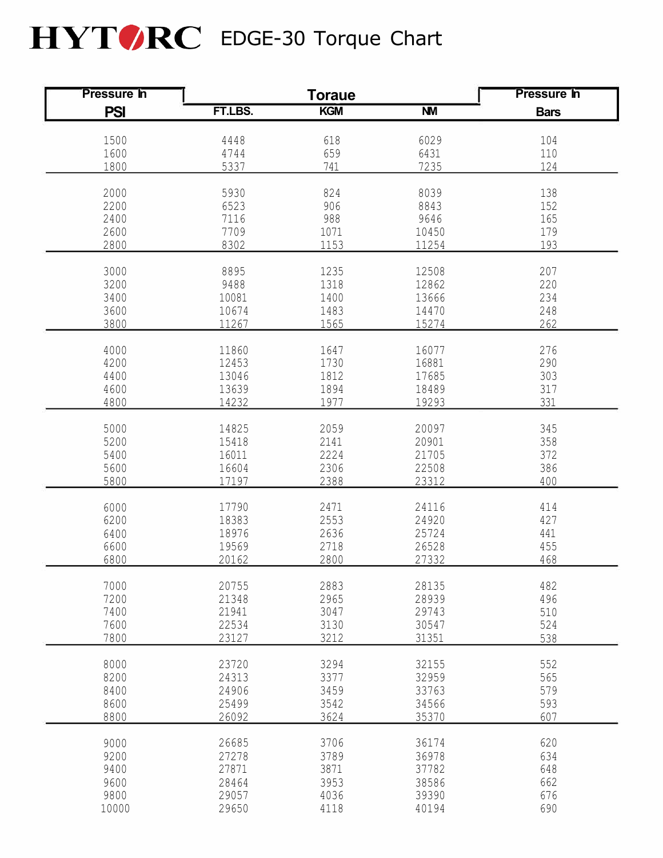

| Pressure In  | <b>Toraue</b>  |              |                | <b>Pressure In</b> |
|--------------|----------------|--------------|----------------|--------------------|
| <b>PSI</b>   | FT.LBS.        | <b>KGM</b>   | <b>NM</b>      | <b>Bars</b>        |
| 1500         | 4448           | 618          | 6029           | 104                |
| 1600         | 4744           | 659          | 6431           | 110                |
| 1800         | 5337           | 741          | 7235           | 124                |
| 2000         | 5930           | 824          | 8039           | 138                |
| 2200         | 6523           | 906          | 8843           | 152                |
| 2400         | 7116           | 988          | 9646           | 165                |
| 2600         | 7709           | 1071         | 10450          | 179                |
| 2800         | 8302           | 1153         | 11254          | 193                |
| 3000         | 8895           | 1235         | 12508          | 207                |
| 3200         | 9488           | 1318         | 12862          | 220                |
| 3400         | 10081          | 1400         | 13666          | 234                |
| 3600         | 10674          | 1483         | 14470          | 248                |
| 3800         | 11267          | 1565         | 15274          | 262                |
| 4000         | 11860          | 1647         | 16077          | 276                |
| 4200         | 12453          | 1730         | 16881          | 290                |
| 4400         | 13046          | 1812         | 17685          | 303                |
| 4600         | 13639          | 1894         | 18489          | 317                |
| 4800         | 14232          | 1977         | 19293          | 331                |
| 5000         | 14825          | 2059         | 20097          | 345                |
| 5200         | 15418          | 2141         | 20901          | 358                |
| 5400         | 16011          | 2224         | 21705          | 372                |
| 5600         | 16604          | 2306         | 22508          | 386                |
| 5800         | 17197          | 2388         | 23312          | 400                |
| 6000         | 17790          | 2471         | 24116          | 414                |
| 6200         | 18383          | 2553         | 24920          | 427                |
| 6400         | 18976          | 2636         | 25724          | 441                |
| 6600         | 19569          | 2718         | 26528          | 455                |
| 6800         | 20162          | 2800         | 27332          | 468                |
| 7000         | 20755          | 2883         | 28135          | 482                |
| 7200         | 21348          | 2965         | 28939          | 496                |
| 7400         | 21941          | 3047         | 29743          | 510                |
| 7600         | 22534          | 3130         | 30547          | 524                |
| 7800         | 23127          | 3212         | 31351          | 538                |
| 8000         | 23720          | 3294         | 32155          | 552                |
| 8200         | 24313          | 3377         | 32959          | 565                |
| 8400         | 24906          | 3459         | 33763          | 579                |
| 8600         | 25499          | 3542         | 34566          | 593                |
| 8800         | 26092          | 3624         | 35370          | 607                |
| 9000         | 26685          | 3706         | 36174          | 620                |
| 9200         | 27278          | 3789         | 36978          | 634                |
| 9400         | 27871          | 3871         | 37782          | 648                |
| 9600<br>9800 | 28464<br>29057 | 3953<br>4036 | 38586<br>39390 | 662<br>676         |
| 10000        | 29650          | 4118         | 40194          | 690                |